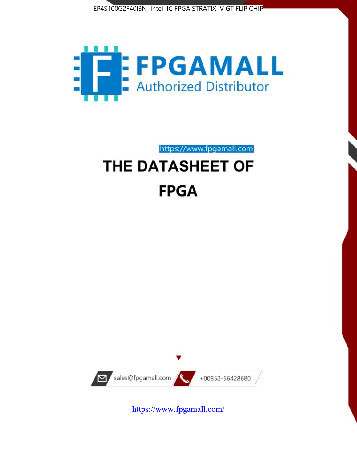



https://www.fpgamall.com

# THE DATASHEET OF **FPGA**



<https://www.fpgamall.com/>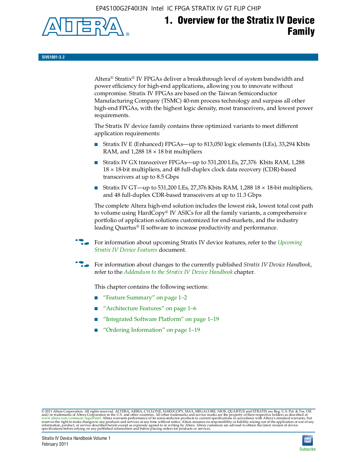EP4S100G2F40I3N Intel IC FPGA STRATIX IV GT FLIP CHIP



# **1. Overview for the Stratix IV Device Family**

**SIV51001-3.2**

Altera® Stratix® IV FPGAs deliver a breakthrough level of system bandwidth and power efficiency for high-end applications, allowing you to innovate without compromise. Stratix IV FPGAs are based on the Taiwan Semiconductor Manufacturing Company (TSMC) 40-nm process technology and surpass all other high-end FPGAs, with the highest logic density, most transceivers, and lowest power requirements.

The Stratix IV device family contains three optimized variants to meet different application requirements:

- Stratix IV E (Enhanced) FPGAs—up to 813,050 logic elements (LEs), 33,294 Kbits RAM, and  $1,288$   $18 \times 18$  bit multipliers
- Stratix IV GX transceiver FPGAs—up to 531,200 LEs, 27,376 Kbits RAM, 1,288 18 × 18-bit multipliers, and 48 full-duplex clock data recovery (CDR)-based transceivers at up to 8.5 Gbps
- Stratix IV GT—up to 531,200 LEs, 27,376 Kbits RAM, 1,288 18  $\times$  18-bit multipliers, and 48 full-duplex CDR-based transceivers at up to 11.3 Gbps

The complete Altera high-end solution includes the lowest risk, lowest total cost path to volume using HardCopy® IV ASICs for all the family variants, a comprehensive portfolio of application solutions customized for end-markets, and the industry leading Quartus® II software to increase productivity and performance.

f For information about upcoming Stratix IV device features, refer to the *[Upcoming](http://www.altera.com/literature/hb/stratix-iv/uf01001.pdf?GSA_pos=2&WT.oss_r=1&WT.oss=upcoming)  [Stratix IV Device Features](http://www.altera.com/literature/hb/stratix-iv/uf01001.pdf?GSA_pos=2&WT.oss_r=1&WT.oss=upcoming)* document.

f For information about changes to the currently published *Stratix IV Device Handbook*, refer to the *[Addendum to the Stratix IV Device Handbook](http://www.altera.com/literature/hb/stratix-iv/stx4_siv54002.pdf)* chapter.

This chapter contains the following sections:

- "Feature Summary" on page 1–2
- "Architecture Features" on page 1–6
- "Integrated Software Platform" on page 1–19
- "Ordering Information" on page 1–19

© 2011 Altera Corporation. All rights reserved. ALTERA, ARRIA, CYCLONE, HARDCOPY, MAX, MEGACORE, NIOS, QUARTUS and STRATIX are Reg. U.S. Pat. & Tm. Off.<br>and/or trademarks of Altera Corporation in the U.S. and other countri

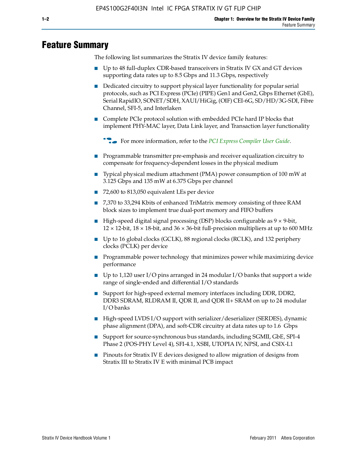# **Feature Summary**

The following list summarizes the Stratix IV device family features:

- Up to 48 full-duplex CDR-based transceivers in Stratix IV GX and GT devices supporting data rates up to 8.5 Gbps and 11.3 Gbps, respectively
- Dedicated circuitry to support physical layer functionality for popular serial protocols, such as PCI Express (PCIe) (PIPE) Gen1 and Gen2, Gbps Ethernet (GbE), Serial RapidIO, SONET/SDH, XAUI/HiGig, (OIF) CEI-6G, SD/HD/3G-SDI, Fibre Channel, SFI-5, and Interlaken
- Complete PCIe protocol solution with embedded PCIe hard IP blocks that implement PHY-MAC layer, Data Link layer, and Transaction layer functionality

**for more information, refer to the [PCI Express Compiler User Guide](http://www.altera.com/literature/ug/ug_pci_express.pdf).** 

- Programmable transmitter pre-emphasis and receiver equalization circuitry to compensate for frequency-dependent losses in the physical medium
- Typical physical medium attachment (PMA) power consumption of 100 mW at 3.125 Gbps and 135 mW at 6.375 Gbps per channel
- 72,600 to 813,050 equivalent LEs per device
- 7,370 to 33,294 Kbits of enhanced TriMatrix memory consisting of three RAM block sizes to implement true dual-port memory and FIFO buffers
- High-speed digital signal processing (DSP) blocks configurable as 9 × 9-bit,  $12 \times 12$ -bit,  $18 \times 18$ -bit, and  $36 \times 36$ -bit full-precision multipliers at up to 600 MHz
- Up to 16 global clocks (GCLK), 88 regional clocks (RCLK), and 132 periphery clocks (PCLK) per device
- Programmable power technology that minimizes power while maximizing device performance
- Up to 1,120 user I/O pins arranged in 24 modular I/O banks that support a wide range of single-ended and differential I/O standards
- Support for high-speed external memory interfaces including DDR, DDR2, DDR3 SDRAM, RLDRAM II, QDR II, and QDR II+ SRAM on up to 24 modular I/O banks
- High-speed LVDS I/O support with serializer/deserializer (SERDES), dynamic phase alignment (DPA), and soft-CDR circuitry at data rates up to 1.6 Gbps
- Support for source-synchronous bus standards, including SGMII, GbE, SPI-4 Phase 2 (POS-PHY Level 4), SFI-4.1, XSBI, UTOPIA IV, NPSI, and CSIX-L1
- Pinouts for Stratix IV E devices designed to allow migration of designs from Stratix III to Stratix IV E with minimal PCB impact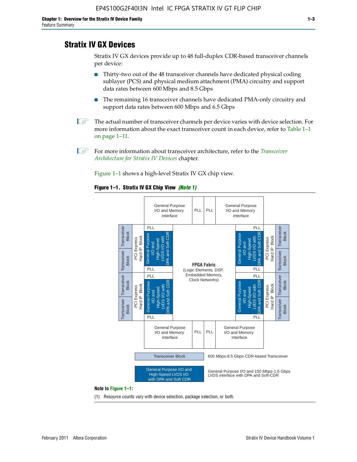# **Stratix IV GX Devices**

Stratix IV GX devices provide up to 48 full-duplex CDR-based transceiver channels per device:

- Thirty-two out of the 48 transceiver channels have dedicated physical coding sublayer (PCS) and physical medium attachment (PMA) circuitry and support data rates between 600 Mbps and 8.5 Gbps
- The remaining 16 transceiver channels have dedicated PMA-only circuitry and support data rates between 600 Mbps and 6.5 Gbps
- **1 The actual number of transceiver channels per device varies with device selection. For** more information about the exact transceiver count in each device, refer to Table 1–1 on page 1–11.
- 1 For more information about transceiver architecture, refer to the *[Transceiver](http://www/literature/hb/stratix-iv/stx4_siv52001.pdf)  [Architecture for Stratix IV Devices](http://www/literature/hb/stratix-iv/stx4_siv52001.pdf)* chapter.

Figure 1–1 shows a high-level Stratix IV GX chip view.

#### **Figure 1–1. Stratix IV GX Chip View** *(Note 1)*



(1) Resource counts vary with device selection, package selection, or both.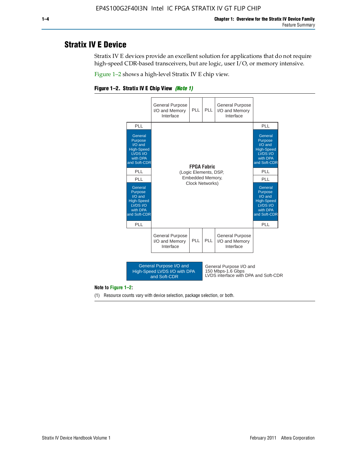# **Stratix IV E Device**

Stratix IV E devices provide an excellent solution for applications that do not require high-speed CDR-based transceivers, but are logic, user I/O, or memory intensive.

Figure 1–2 shows a high-level Stratix IV E chip view.





#### **Note to Figure 1–2:**

(1) Resource counts vary with device selection, package selection, or both.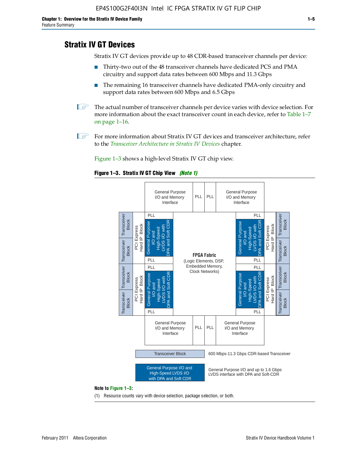# **Stratix IV GT Devices**

Stratix IV GT devices provide up to 48 CDR-based transceiver channels per device:

- Thirty-two out of the 48 transceiver channels have dedicated PCS and PMA circuitry and support data rates between 600 Mbps and 11.3 Gbps
- The remaining 16 transceiver channels have dedicated PMA-only circuitry and support data rates between 600 Mbps and 6.5 Gbps
- **1 The actual number of transceiver channels per device varies with device selection. For** more information about the exact transceiver count in each device, refer to Table 1–7 on page 1–16.
- $\mathbb{I}$  For more information about Stratix IV GT devices and transceiver architecture, refer to the *[Transceiver Architecture in Stratix IV Devices](http://www/literature/hb/stratix-iv/stx4_siv52001.pdf)* chapter.

Figure 1–3 shows a high-level Stratix IV GT chip view.

#### **Figure 1–3. Stratix IV GT Chip View** *(Note 1)*



(1) Resource counts vary with device selection, package selection, or both.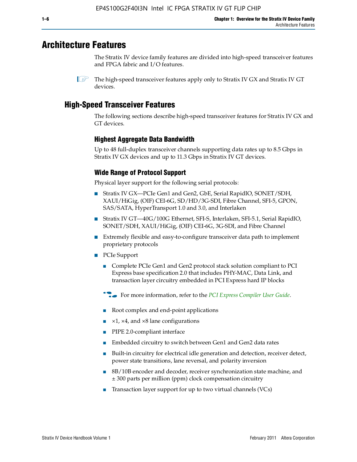# **Architecture Features**

The Stratix IV device family features are divided into high-speed transceiver features and FPGA fabric and I/O features.

## **High-Speed Transceiver Features**

The following sections describe high-speed transceiver features for Stratix IV GX and GT devices.

#### **Highest Aggregate Data Bandwidth**

Up to 48 full-duplex transceiver channels supporting data rates up to 8.5 Gbps in Stratix IV GX devices and up to 11.3 Gbps in Stratix IV GT devices.

#### **Wide Range of Protocol Support**

Physical layer support for the following serial protocols:

- Stratix IV GX—PCIe Gen1 and Gen2, GbE, Serial RapidIO, SONET/SDH, XAUI/HiGig, (OIF) CEI-6G, SD/HD/3G-SDI, Fibre Channel, SFI-5, GPON, SAS/SATA, HyperTransport 1.0 and 3.0, and Interlaken
- Stratix IV GT—40G/100G Ethernet, SFI-S, Interlaken, SFI-5.1, Serial RapidIO, SONET/SDH, XAUI/HiGig, (OIF) CEI-6G, 3G-SDI, and Fibre Channel
- Extremely flexible and easy-to-configure transceiver data path to implement proprietary protocols
- PCIe Support
	- Complete PCIe Gen1 and Gen2 protocol stack solution compliant to PCI Express base specification 2.0 that includes PHY-MAC, Data Link, and transaction layer circuitry embedded in PCI Express hard IP blocks
	- **f For more information, refer to the [PCI Express Compiler User Guide](http://www.altera.com/literature/ug/ug_pci_express.pdf).**
	- Root complex and end-point applications
	- $\blacksquare$  ×1, ×4, and ×8 lane configurations
	- PIPE 2.0-compliant interface
	- Embedded circuitry to switch between Gen1 and Gen2 data rates
	- Built-in circuitry for electrical idle generation and detection, receiver detect, power state transitions, lane reversal, and polarity inversion
	- 8B/10B encoder and decoder, receiver synchronization state machine, and ± 300 parts per million (ppm) clock compensation circuitry
	- Transaction layer support for up to two virtual channels (VCs)

 $\mathbb{I}$  The high-speed transceiver features apply only to Stratix IV GX and Stratix IV GT devices.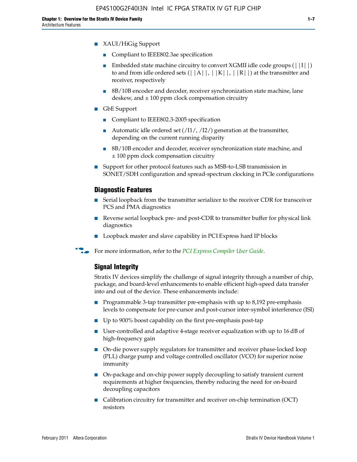- XAUI/HiGig Support
	- Compliant to IEEE802.3ae specification
	- **■** Embedded state machine circuitry to convert XGMII idle code groups  $(|1| \cdot |)$ to and from idle ordered sets  $(||A||, |K||, |R||)$  at the transmitter and receiver, respectively
	- 8B/10B encoder and decoder, receiver synchronization state machine, lane deskew, and  $\pm 100$  ppm clock compensation circuitry
- GbE Support
	- Compliant to IEEE802.3-2005 specification
	- Automatic idle ordered set  $(11/7/12/7)$  generation at the transmitter, depending on the current running disparity
	- 8B/10B encoder and decoder, receiver synchronization state machine, and ± 100 ppm clock compensation circuitry
- Support for other protocol features such as MSB-to-LSB transmission in SONET/SDH configuration and spread-spectrum clocking in PCIe configurations

#### **Diagnostic Features**

- Serial loopback from the transmitter serializer to the receiver CDR for transceiver PCS and PMA diagnostics
- Reverse serial loopback pre- and post-CDR to transmitter buffer for physical link diagnostics
- Loopback master and slave capability in PCI Express hard IP blocks
- **For more information, refer to the** *[PCI Express Compiler User Guide](http://www.altera.com/literature/ug/ug_pci_express.pdf)***.**

#### **Signal Integrity**

Stratix IV devices simplify the challenge of signal integrity through a number of chip, package, and board-level enhancements to enable efficient high-speed data transfer into and out of the device. These enhancements include:

- Programmable 3-tap transmitter pre-emphasis with up to 8,192 pre-emphasis levels to compensate for pre-cursor and post-cursor inter-symbol interference (ISI)
- Up to 900% boost capability on the first pre-emphasis post-tap
- User-controlled and adaptive 4-stage receiver equalization with up to 16 dB of high-frequency gain
- On-die power supply regulators for transmitter and receiver phase-locked loop (PLL) charge pump and voltage controlled oscillator (VCO) for superior noise immunity
- On-package and on-chip power supply decoupling to satisfy transient current requirements at higher frequencies, thereby reducing the need for on-board decoupling capacitors
- Calibration circuitry for transmitter and receiver on-chip termination (OCT) resistors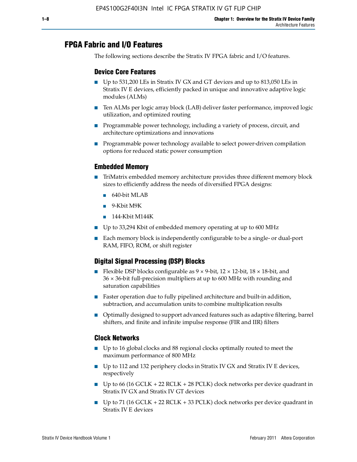# **FPGA Fabric and I/O Features**

The following sections describe the Stratix IV FPGA fabric and I/O features.

#### **Device Core Features**

- Up to 531,200 LEs in Stratix IV GX and GT devices and up to 813,050 LEs in Stratix IV E devices, efficiently packed in unique and innovative adaptive logic modules (ALMs)
- Ten ALMs per logic array block (LAB) deliver faster performance, improved logic utilization, and optimized routing
- Programmable power technology, including a variety of process, circuit, and architecture optimizations and innovations
- Programmable power technology available to select power-driven compilation options for reduced static power consumption

#### **Embedded Memory**

- TriMatrix embedded memory architecture provides three different memory block sizes to efficiently address the needs of diversified FPGA designs:
	- 640-bit MLAB
	- 9-Kbit M9K
	- 144-Kbit M144K
- Up to 33,294 Kbit of embedded memory operating at up to 600 MHz
- Each memory block is independently configurable to be a single- or dual-port RAM, FIFO, ROM, or shift register

### **Digital Signal Processing (DSP) Blocks**

- Flexible DSP blocks configurable as  $9 \times 9$ -bit,  $12 \times 12$ -bit,  $18 \times 18$ -bit, and 36 × 36-bit full-precision multipliers at up to 600 MHz with rounding and saturation capabilities
- Faster operation due to fully pipelined architecture and built-in addition, subtraction, and accumulation units to combine multiplication results
- Optimally designed to support advanced features such as adaptive filtering, barrel shifters, and finite and infinite impulse response (FIR and IIR) filters

#### **Clock Networks**

- Up to 16 global clocks and 88 regional clocks optimally routed to meet the maximum performance of 800 MHz
- Up to 112 and 132 periphery clocks in Stratix IV GX and Stratix IV E devices, respectively
- Up to 66 (16 GCLK + 22 RCLK + 28 PCLK) clock networks per device quadrant in Stratix IV GX and Stratix IV GT devices
- **•** Up to 71 (16 GCLK + 22 RCLK + 33 PCLK) clock networks per device quadrant in Stratix IV E devices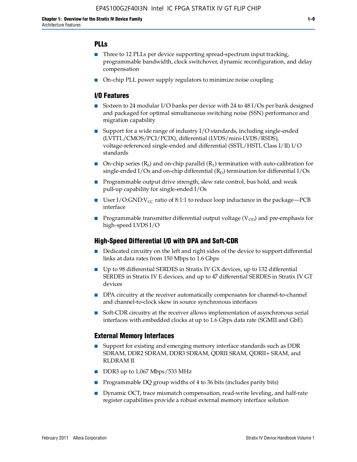#### **PLLs**

- Three to 12 PLLs per device supporting spread-spectrum input tracking, programmable bandwidth, clock switchover, dynamic reconfiguration, and delay compensation
- On-chip PLL power supply regulators to minimize noise coupling

#### **I/O Features**

- Sixteen to 24 modular I/O banks per device with 24 to 48 I/Os per bank designed and packaged for optimal simultaneous switching noise (SSN) performance and migration capability
- Support for a wide range of industry I/O standards, including single-ended (LVTTL/CMOS/PCI/PCIX), differential (LVDS/mini-LVDS/RSDS), voltage-referenced single-ended and differential (SSTL/HSTL Class I/II) I/O standards
- **O**n-chip series  $(R_S)$  and on-chip parallel  $(R_T)$  termination with auto-calibration for single-ended I/Os and on-chip differential  $(R_D)$  termination for differential I/Os
- Programmable output drive strength, slew rate control, bus hold, and weak pull-up capability for single-ended I/Os
- User I/O:GND:V<sub>CC</sub> ratio of 8:1:1 to reduce loop inductance in the package—PCB interface
- **•** Programmable transmitter differential output voltage ( $V_{OD}$ ) and pre-emphasis for high-speed LVDS I/O

#### **High-Speed Differential I/O with DPA and Soft-CDR**

- Dedicated circuitry on the left and right sides of the device to support differential links at data rates from 150 Mbps to 1.6 Gbps
- Up to 98 differential SERDES in Stratix IV GX devices, up to 132 differential SERDES in Stratix IV E devices, and up to 47 differential SERDES in Stratix IV GT devices
- DPA circuitry at the receiver automatically compensates for channel-to-channel and channel-to-clock skew in source synchronous interfaces
- Soft-CDR circuitry at the receiver allows implementation of asynchronous serial interfaces with embedded clocks at up to 1.6 Gbps data rate (SGMII and GbE)

#### **External Memory Interfaces**

- Support for existing and emerging memory interface standards such as DDR SDRAM, DDR2 SDRAM, DDR3 SDRAM, QDRII SRAM, QDRII+ SRAM, and RLDRAM II
- DDR3 up to 1,067 Mbps/533 MHz
- Programmable DQ group widths of 4 to 36 bits (includes parity bits)
- Dynamic OCT, trace mismatch compensation, read-write leveling, and half-rate register capabilities provide a robust external memory interface solution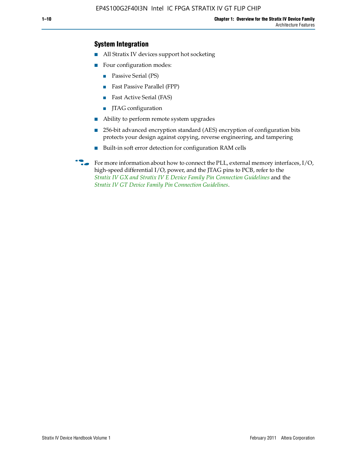### **System Integration**

- All Stratix IV devices support hot socketing
- Four configuration modes:
	- Passive Serial (PS)
	- Fast Passive Parallel (FPP)
	- Fast Active Serial (FAS)
	- JTAG configuration
- Ability to perform remote system upgrades
- 256-bit advanced encryption standard (AES) encryption of configuration bits protects your design against copying, reverse engineering, and tampering
- Built-in soft error detection for configuration RAM cells

For more information about how to connect the PLL, external memory interfaces,  $I/O$ , high-speed differential I/O, power, and the JTAG pins to PCB, refer to the *[Stratix IV GX and Stratix IV E Device Family Pin Connection Guidelines](http://www.altera.com/literature/dp/stratix4/PCG-01005.pdf)* and the *[Stratix IV GT Device Family Pin Connection Guidelines](http://www.altera.com/literature/dp/stratix4/PCG-01006.pdf)*.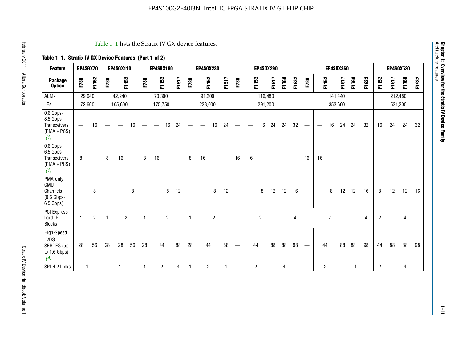| <b>Feature</b>                                                       | EP4SGX70                       |                   |                          | <b>EP4SGX110</b>                |    |                          | <b>EP4SGX180</b> |                               |                          |      | <b>EP4SGX230</b>         |                                   |                   |                                 |                          | <b>EP4SGX290</b>  |                          |       |                |                                  |                          |                | <b>EP4SGX360</b> |       |       |                |         | <b>EP4SGX530</b> |          |
|----------------------------------------------------------------------|--------------------------------|-------------------|--------------------------|---------------------------------|----|--------------------------|------------------|-------------------------------|--------------------------|------|--------------------------|-----------------------------------|-------------------|---------------------------------|--------------------------|-------------------|--------------------------|-------|----------------|----------------------------------|--------------------------|----------------|------------------|-------|-------|----------------|---------|------------------|----------|
| <b>Package</b><br><b>Option</b>                                      | F780                           | F1152             | F780                     | F1152                           |    | F780                     | F1152            |                               | F1517                    | F780 | F1152                    |                                   | F1517             | F780                            |                          | F1152             | F1517                    | F1760 | F1932          | F780                             | F1152                    |                | F1517            | F1760 | F1932 | F1152          | F1517   | F1760            | 932<br>됴 |
| <b>ALMs</b>                                                          |                                | 29,040            |                          | 42,240                          |    |                          | 70,300           |                               |                          |      | 91,200                   |                                   |                   |                                 |                          | 116,480           |                          |       |                |                                  |                          | 141,440        |                  |       |       |                | 212,480 |                  |          |
| LEs                                                                  |                                | 72,600            |                          | 105,600                         |    |                          | 175,750          |                               |                          |      | 228,000                  |                                   |                   |                                 |                          | 291,200           |                          |       |                |                                  |                          |                | 353,600          |       |       |                | 531,200 |                  |          |
| 0.6 Gbps-<br>8.5 Gbps<br><b>Transceivers</b><br>$(PMA + PCs)$<br>(1) | $\qquad \qquad \longleftarrow$ | 16                |                          | $\hspace{0.1mm}-\hspace{0.1mm}$ | 16 | $\overline{\phantom{m}}$ | —                | 16                            | 24                       | —    | $\overline{\phantom{m}}$ | 16                                | 24                | $\hspace{0.1mm}-\hspace{0.1mm}$ | $\overline{\phantom{m}}$ | 16                | 24                       | 24    | 32             | $\hspace{0.05cm}$                | $\overline{\phantom{m}}$ | 16             | 24               | 24    | 32    | 16             | 24      | 24               | 32       |
| 0.6 Gbps-<br>6.5 Gbps<br>Transceivers<br>$(PMA + PCs)$<br>(1)        | 8                              | $\hspace{0.05cm}$ | 8                        | 16                              |    | 8                        | 16               | $\overbrace{\phantom{13333}}$ | $\overline{\phantom{0}}$ | 8    | 16                       | $\overbrace{\phantom{123221111}}$ | $\hspace{0.05cm}$ | 16                              | 16                       | $\hspace{0.05cm}$ | $\overline{\phantom{0}}$ | --    |                | 16                               | 16                       | —              | -                |       | --    | --             |         |                  |          |
| PMA-only<br>CMU<br>Channels<br>$(0.6$ Gbps-<br>6.5 Gbps)             | $\overline{\phantom{m}}$       | 8                 | $\overline{\phantom{0}}$ |                                 | 8  |                          |                  | 8                             | 12                       |      |                          | 8                                 | 12                | $\hspace{0.1mm}-\hspace{0.1mm}$ |                          | 8                 | 12                       | 12    | 16             |                                  | $\overline{\phantom{0}}$ | 8              | 12               | 12    | 16    | 8              | 12      | 12               | 16       |
| PCI Express<br>hard IP<br><b>Blocks</b>                              | $\overline{1}$                 | $\overline{2}$    | $\mathbf{1}$             | $\overline{2}$                  |    | $\mathbf{1}$             |                  | $\overline{2}$                |                          | 1    |                          | $\overline{2}$                    |                   |                                 |                          | $\overline{c}$    |                          |       | $\overline{4}$ |                                  |                          | $\overline{c}$ |                  |       | 4     | $\overline{2}$ |         | 4                |          |
| High-Speed<br><b>LVDS</b><br>SERDES (up<br>to $1.6$ Gbps)<br>(4)     | 28                             | 56                | 28                       | 28                              | 56 | 28                       | 44               |                               | 88                       | 28   | 44                       |                                   | 88                |                                 | 44                       |                   | 88                       | 88    | 98             | $\overbrace{\phantom{12322111}}$ | 44                       |                | 88               | 88    | 98    | 44             | 88      | 88               | 98       |
| SPI-4.2 Links                                                        | $\mathbf{1}$                   |                   |                          | $\mathbf{1}$                    |    | $\mathbf{1}$             | $\overline{2}$   |                               | 4                        | -1   | $\overline{2}$           |                                   | $\overline{4}$    |                                 | $\overline{2}$           |                   |                          | 4     |                | $\overbrace{\phantom{12322111}}$ | $\overline{2}$           |                |                  | 4     |       | $\overline{2}$ |         | 4                |          |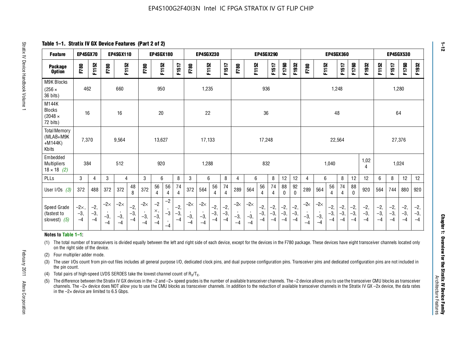**Table 1–1. Stratix IV GX Device Features (Part 2 of 2)**

| <b>Feature</b>                                                                                                                                                                                                                                                                                                                                                                                                                                                                      | EP4SGX70                    |                        |                             | EP4SGX110                   |                        |                             | EP4SGX180                           |                      |                        |                             | <b>EP4SGX230</b>            |                        |                        |                    |                             | <b>EP4SGX290</b>       |                        |                        |                        |                       |                             | <b>EP4SGX360</b>       |                        |                        |                        |                        | <b>EP4SGX530</b>       |                        |                        |
|-------------------------------------------------------------------------------------------------------------------------------------------------------------------------------------------------------------------------------------------------------------------------------------------------------------------------------------------------------------------------------------------------------------------------------------------------------------------------------------|-----------------------------|------------------------|-----------------------------|-----------------------------|------------------------|-----------------------------|-------------------------------------|----------------------|------------------------|-----------------------------|-----------------------------|------------------------|------------------------|--------------------|-----------------------------|------------------------|------------------------|------------------------|------------------------|-----------------------|-----------------------------|------------------------|------------------------|------------------------|------------------------|------------------------|------------------------|------------------------|------------------------|
| <b>Package</b><br><b>Option</b>                                                                                                                                                                                                                                                                                                                                                                                                                                                     | F780                        | F1152                  | F780                        | F1152                       |                        | F780                        | F1152                               |                      | F1517                  | F780                        | F1152                       |                        | F1517                  | F780               | F1152                       |                        | F1517                  | F1760                  | F1932                  | F780                  | F1152                       |                        | F1517                  | F1760                  | F1932                  | F1152                  | F1517                  | F1760                  | F1932                  |
| M9K Blocks<br>$(256 \times$<br>36 bits)                                                                                                                                                                                                                                                                                                                                                                                                                                             | 462                         |                        |                             | 660                         |                        |                             | 950                                 |                      |                        |                             | 1,235                       |                        |                        |                    |                             | 936                    |                        |                        |                        |                       |                             | 1,248                  |                        |                        |                        |                        |                        | 1,280                  |                        |
| M144K<br><b>Blocks</b><br>$(2048 \times$<br>72 bits)                                                                                                                                                                                                                                                                                                                                                                                                                                | 16                          |                        |                             | 16                          |                        |                             | 20                                  |                      |                        |                             | 22                          |                        |                        |                    |                             | 36                     |                        |                        |                        |                       |                             | 48                     |                        |                        |                        |                        | 64                     |                        |                        |
| <b>Total Memory</b><br>(MLAB+M9K<br>$+M144K)$<br>Kbits                                                                                                                                                                                                                                                                                                                                                                                                                              | 7,370                       |                        |                             | 9,564                       |                        |                             | 13.627                              |                      |                        |                             | 17,133                      |                        |                        |                    |                             | 17,248                 |                        |                        |                        |                       |                             | 22,564                 |                        |                        |                        |                        |                        | 27,376                 |                        |
| Embedded<br><b>Multipliers</b><br>$18 \times 18$ (2)                                                                                                                                                                                                                                                                                                                                                                                                                                | 384                         |                        |                             | 512                         |                        |                             | 920                                 |                      |                        |                             | 1,288                       |                        |                        |                    |                             | 832                    |                        |                        |                        |                       |                             | 1,040                  |                        |                        | 1,02<br>4              |                        |                        | 1,024                  |                        |
| PLLs                                                                                                                                                                                                                                                                                                                                                                                                                                                                                | 3                           | $\overline{4}$         | 3                           | $\overline{4}$              |                        | 3                           | 6                                   |                      | 8                      | 3                           | 6                           |                        | 8                      | 4                  | 6                           |                        | 8                      | 12                     | 12                     | 4                     | 6                           |                        | 8                      | 12                     | 12                     | 6                      | 8                      | 12                     | 12                     |
| User I/Os $(3)$                                                                                                                                                                                                                                                                                                                                                                                                                                                                     | 372                         | 488                    | 372                         | 372                         | 48<br>8                | 372                         | 56<br>$\overline{4}$                | 56<br>4              | 74<br>$\overline{4}$   | 372                         | 564                         | 56<br>4                | 74<br>4                | 289                | 564                         | 56<br>$\overline{4}$   | 74<br>$\overline{4}$   | 88<br>$\mathbf{0}$     | 92<br>$\mathbf{0}$     | 289                   | 564                         | 56<br>4                | 74<br>$\overline{4}$   | 88<br>$\Omega$         | 920                    | 564                    | 744                    | 880                    | 920                    |
| Speed Grade<br>(fastest to<br>slowest) $(5)$                                                                                                                                                                                                                                                                                                                                                                                                                                        | $-2\times$<br>$-3,$<br>$-4$ | $-2,$<br>$-3,$<br>$-4$ | $-2\times$<br>$-3,$<br>$-4$ | $-2\times$<br>$-3,$<br>$-4$ | $-2,$<br>$-3,$<br>$-4$ | $-2\times$<br>$-3,$<br>$-4$ | $-2$<br>$\times$ ,<br>$-3,$<br>$-4$ | $-2$<br>$-3$<br>$-4$ | $-2,$<br>$-3,$<br>$-4$ | $-2\times$<br>$-3,$<br>$-4$ | $-2\times$<br>$-3,$<br>$-4$ | $-2,$<br>$-3,$<br>$-4$ | $-2,$<br>$-3,$<br>$-4$ | -2∝<br>$-3,$<br>-4 | $-2\times$<br>$-3,$<br>$-4$ | $-2,$<br>$-3,$<br>$-4$ | $-2,$<br>$-3,$<br>$-4$ | $-2,$<br>$-3,$<br>$-4$ | $-2,$<br>$-3,$<br>$-4$ | $-2$<br>$-3,$<br>$-4$ | $-2\times$<br>$-3,$<br>$-4$ | $-2,$<br>$-3,$<br>$-4$ | $-2,$<br>$-3,$<br>$-4$ | $-2,$<br>$-3,$<br>$-4$ | $-2,$<br>$-3,$<br>$-4$ | $-2,$<br>$-3,$<br>$-4$ | $-2,$<br>$-3,$<br>$-4$ | $-2,$<br>$-3,$<br>$-4$ | $-2,$<br>$-3,$<br>$-4$ |
| Notes to Table 1-1:                                                                                                                                                                                                                                                                                                                                                                                                                                                                 |                             |                        |                             |                             |                        |                             |                                     |                      |                        |                             |                             |                        |                        |                    |                             |                        |                        |                        |                        |                       |                             |                        |                        |                        |                        |                        |                        |                        |                        |
| (1) The total number of transceivers is divided equally between the left and right side of each device, except for the devices in the F780 package. These devices have eight transceiver channels located only<br>on the right side of the device.<br>Four multiplier adder mode.<br>(2)                                                                                                                                                                                            |                             |                        |                             |                             |                        |                             |                                     |                      |                        |                             |                             |                        |                        |                    |                             |                        |                        |                        |                        |                       |                             |                        |                        |                        |                        |                        |                        |                        |                        |
| The user I/Os count from pin-out files includes all general purpose I/O, dedicated clock pins, and dual purpose configuration pins. Transceiver pins and dedicated configuration pins are not included in<br>(3)<br>the pin count.                                                                                                                                                                                                                                                  |                             |                        |                             |                             |                        |                             |                                     |                      |                        |                             |                             |                        |                        |                    |                             |                        |                        |                        |                        |                       |                             |                        |                        |                        |                        |                        |                        |                        |                        |
| Total pairs of high-speed LVDS SERDES take the lowest channel count of $R_x/T_x$ .<br>(4)                                                                                                                                                                                                                                                                                                                                                                                           |                             |                        |                             |                             |                        |                             |                                     |                      |                        |                             |                             |                        |                        |                    |                             |                        |                        |                        |                        |                       |                             |                        |                        |                        |                        |                        |                        |                        |                        |
| The difference between the Stratix IV GX devices in the -2 and -2x speed grades is the number of available transceiver channels. The -2 device allows you to use the transceiver CMU blocks as transceiver<br>(5)<br>channels. The -2x device does NOT allow you to use the CMU blocks as transceiver channels. In addition to the reduction of available transceiver channels in the Stratix IV GX -2x device, the data rates<br>in the $-2\times$ device are limited to 6.5 Gbps. |                             |                        |                             |                             |                        |                             |                                     |                      |                        |                             |                             |                        |                        |                    |                             |                        |                        |                        |                        |                       |                             |                        |                        |                        |                        |                        |                        |                        |                        |

#### **Notes to Table 1–1:**

- (4) Total pairs of high-speed LVDS SERDES take the lowest channel count of  $R_X/T_X$ .
- (5) The difference between the Stratix IV GX devices in the –2 and –2× speed grades is the number of available transceiver channels. The –2 device allows you to use the transceiver CMU blocks as transceiver channels. The –2× device does NOT allow you to use the CMU blocks as transceiver channels. In addition to the reduction of available transceiver channels in the Stratix IV GX –2x device, the data rates in the  $-2\times$  device are limited to 6.5 Gbps.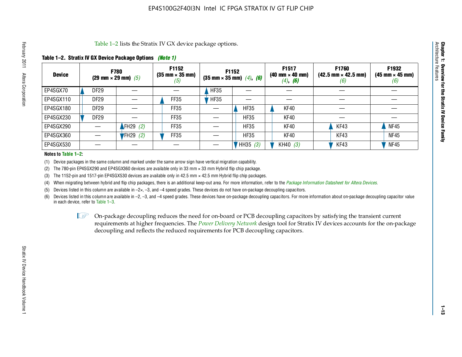#### **Table 1–2. Stratix IV GX Device Package Options** *(Note 1)*

|               | Table 1–2 lists the Stratix IV GX device package options.<br>Architecture |                            |             |                                                        |             |                                                               |                                                                       |                                                            |                                                        |  |  |  |  |  |
|---------------|---------------------------------------------------------------------------|----------------------------|-------------|--------------------------------------------------------|-------------|---------------------------------------------------------------|-----------------------------------------------------------------------|------------------------------------------------------------|--------------------------------------------------------|--|--|--|--|--|
|               | Table 1–2. Stratix IV GX Device Package Options <i>(Note 1)</i>           |                            |             |                                                        |             |                                                               |                                                                       |                                                            |                                                        |  |  |  |  |  |
| <b>Device</b> |                                                                           | (29 mm $\times$ 29 mm) (5) | <b>F780</b> | <b>F1152</b><br>$(35 \text{ mm} \times 35 \text{ mm})$ |             | F1152<br>$(35 \text{ mm} \times 35 \text{ mm})$ $(4)$ , $(6)$ | F1517<br>$(40 \text{ mm} \times 40 \text{ mm})$<br>$(4)$ , <b>(6)</b> | F1760<br>$(42.5 \text{ mm} \times 42.5 \text{ mm})$<br>(b) | F1932<br>$(45 \text{ mm} \times 45 \text{ mm})$<br>(6) |  |  |  |  |  |
| EP4SGX70      |                                                                           | DF29                       |             |                                                        | <b>HF35</b> |                                                               |                                                                       |                                                            |                                                        |  |  |  |  |  |
| EP4SGX110     |                                                                           | <b>DF29</b>                |             | FF35                                                   | HFS5        |                                                               |                                                                       |                                                            |                                                        |  |  |  |  |  |
| EP4SGX180     |                                                                           | DF29                       |             | FF35                                                   |             | <b>HF35</b>                                                   | KF40                                                                  |                                                            |                                                        |  |  |  |  |  |
| EP4SGX230     |                                                                           | DF <sub>29</sub>           |             | FF35                                                   |             | <b>HF35</b>                                                   | KF40                                                                  |                                                            |                                                        |  |  |  |  |  |
| EP4SGX290     |                                                                           |                            | FH29 $(2)$  | FF35                                                   |             | <b>HF35</b>                                                   | KF40                                                                  | KF43                                                       | <b>NF45</b>                                            |  |  |  |  |  |
| EP4SGX360     |                                                                           |                            | $FH29$ (2)  | FF35                                                   |             | <b>HF35</b>                                                   | KF40                                                                  | KF43                                                       | <b>NF45</b>                                            |  |  |  |  |  |
| EP4SGX530     |                                                                           |                            |             |                                                        |             | HH35 (3)                                                      | KH40 $(3)$                                                            | KF43                                                       | <b>NF45</b>                                            |  |  |  |  |  |

#### **Notes to Table 1–2:**

(1) Device packages in the same column and marked under the same arrow sign have vertical migration capability.

(2) The 780-pin EP4SGX290 and EP4SGX360 devices are available only in 33 mm × 33 mm Hybrid flip chip package.

(3) The 1152-pin and 1517-pin EP4SGX530 devices are available only in 42.5 mm  $\times$  42.5 mm Hybrid flip chip packages.

(4) When migrating between hybrid and flip chip packages, there is an additional keep-out area. For more information, refer to the *[Package Information Datasheet for Altera Devices](http://www.altera.com/literature/ds/dspkg.pdf)*.

(5) Devices listed in this column are available in  $-2\times$ ,  $-3$ , and  $-4$  speed grades. These devices do not have on-package decoupling capacitors.

(6) Devices listed in this column are available in –2, –3, and –4 speed grades. These devices have on-package decoupling capacitors. For more information about on-package decoupling capacitor value in each device, refer to Table 1–3.

 $I \otimes$  On-package decoupling reduces the need for on-board or PCB decoupling capacitors by satisfying the transient current requirements at higher frequencies. The *[Power Delivery Network](http://www.altera.com/literature/ug/pdn_tool_stxiv.zip)* design tool for Stratix IV devices accounts for the on-package decoupling and reflects the reduced requirements for PCB decoupling capacitors.

**Chapter 1: Overview for the Stratix IV Device Family**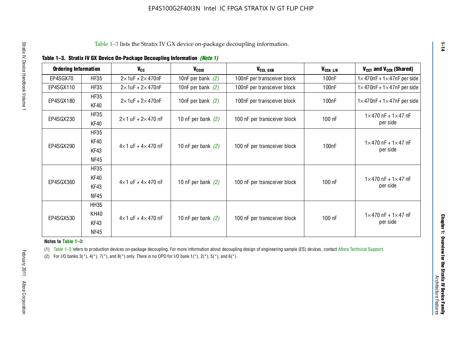| <b>Ordering Information</b> |             | $V_{cc}$                            | V <sub>CCIO</sub>    | V <sub>CCL GXB</sub>         | $V_{CCA_L/R}$      | $V_{CCT}$ and $V_{CCR}$ (Shared)              |
|-----------------------------|-------------|-------------------------------------|----------------------|------------------------------|--------------------|-----------------------------------------------|
| EP4SGX70                    | <b>HF35</b> | $2 \times 1$ uF + $2 \times 470$ nF | 10nF per bank $(2)$  | 100nF per transceiver block  | 100 <sub>n</sub> F | $1 \times 470$ nF + $1 \times 47$ nF per side |
| EP4SGX110                   | <b>HF35</b> | $2\times 1$ uF + $2\times 470$ nF   | 10nF per bank $(2)$  | 100nF per transceiver block  | 100 <sub>n</sub> F | $1 \times 470$ nF + $1 \times 47$ nF per side |
| EP4SGX180                   | <b>HF35</b> | $2\times 1$ uF + $2\times 470$ nF   | 10nF per bank $(2)$  | 100nF per transceiver block  | 100nF              | $1 \times 470$ nF + $1 \times 47$ nF per side |
|                             | <b>KF40</b> |                                     |                      |                              |                    |                                               |
| EP4SGX230                   | <b>HF35</b> | $2\times1$ uF + $2\times470$ nF     | 10 nF per bank $(2)$ | 100 nF per transceiver block | 100 nF             | $1 \times 470$ nF + $1 \times 47$ nF          |
|                             | KF40        |                                     |                      |                              |                    | per side                                      |
|                             | <b>HF35</b> |                                     |                      |                              |                    |                                               |
| EP4SGX290                   | KF40        | $4\times1$ uF + $4\times470$ nF     | 10 nF per bank $(2)$ | 100 nF per transceiver block | 100nF              | $1 \times 470$ nF + $1 \times 47$ nF          |
|                             | KF43        |                                     |                      |                              |                    | per side                                      |
|                             | NF45        |                                     |                      |                              |                    |                                               |
|                             | <b>HF35</b> |                                     |                      |                              |                    |                                               |
| EP4SGX360                   | KF40        | $4\times1$ uF + $4\times470$ nF     | 10 nF per bank $(2)$ | 100 nF per transceiver block | 100 nF             | $1 \times 470$ nF + $1 \times 47$ nF          |
|                             | KF43        |                                     |                      |                              |                    | per side                                      |
|                             | <b>NF45</b> |                                     |                      |                              |                    |                                               |
|                             | <b>HH35</b> |                                     |                      |                              |                    |                                               |
| EP4SGX530                   | <b>KH40</b> | $4\times1$ uF + $4\times470$ nF     | 10 nF per bank $(2)$ | 100 nF per transceiver block | 100 nF             | $1 \times 470$ nF + $1 \times 47$ nF          |
|                             | KF43        |                                     |                      |                              |                    | per side                                      |
|                             | <b>NF45</b> |                                     |                      |                              |                    |                                               |

#### **Notes to Table 1–3:**

**1–14**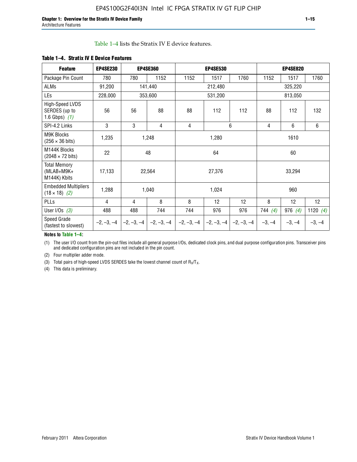Table 1–4 lists the Stratix IV E device features.

| <b>Feature</b>                                      | <b>EP4SE230</b>                              |     | <b>EP4SE360</b> |              | <b>EP4SE530</b> |          |          | <b>EP4SE820</b> |            |  |
|-----------------------------------------------------|----------------------------------------------|-----|-----------------|--------------|-----------------|----------|----------|-----------------|------------|--|
| Package Pin Count                                   | 780                                          | 780 | 1152            | 1152         | 1517            | 1760     | 1152     | 1517            | 1760       |  |
| ALMs                                                | 91,200                                       |     | 141,440         |              | 212,480         |          |          | 325,220         |            |  |
| <b>LEs</b>                                          | 228,000                                      |     | 353,600         |              | 531,200         |          |          | 813,050         |            |  |
| High-Speed LVDS<br>SERDES (up to<br>1.6 Gbps) $(1)$ | 56                                           | 56  | 88              | 88           | 112             | 112      | 88       | 112             | 132        |  |
| SPI-4.2 Links                                       | 3                                            | 3   | 4               | 4            |                 | 6        | 4        | 6               | 6          |  |
| <b>M9K Blocks</b><br>$(256 \times 36 \text{ bits})$ | 1,235                                        |     | 1,248           |              | 1,280           |          |          | 1610            |            |  |
| M144K Blocks<br>$(2048 \times 72 \text{ bits})$     | 22                                           |     | 48              |              | 64              |          | 60       |                 |            |  |
| <b>Total Memory</b><br>(MLAB+M9K+<br>M144K) Kbits   | 17,133                                       |     | 22,564          |              | 27,376          |          |          | 33,294          |            |  |
| <b>Embedded Multipliers</b><br>$(18 \times 18)$ (2) | 1,288                                        |     | 1,040           | 1,024        |                 |          |          | 960             |            |  |
| PLLs                                                | $\overline{4}$                               | 4   | 8               | 8            | 12              | 12       | 8        | 12              | 12         |  |
| User I/Os $(3)$                                     | 488                                          | 488 | 744             | 744          | 976             | 976      | 744(4)   | 976 $(4)$       | 1120 $(4)$ |  |
| Speed Grade<br>(fastest to slowest)                 | $-2, -3, -4$<br>$-2, -3, -4$<br>$-2, -3, -4$ |     | $-2, -3, -4$    | $-2, -3, -4$ | $-2, -3, -4$    | $-3, -4$ | $-3, -4$ | $-3, -4$        |            |  |

#### **Table 1–4. Stratix IV E Device Features**

#### **Notes to Table 1–4:**

(1) The user I/O count from the pin-out files include all general purpose I/Os, dedicated clock pins, and dual purpose configuration pins. Transceiver pins and dedicated configuration pins are not included in the pin count.

(2) Four multiplier adder mode.

(3) Total pairs of high-speed LVDS SERDES take the lowest channel count of  $R_X/T_X$ .

(4) This data is preliminary.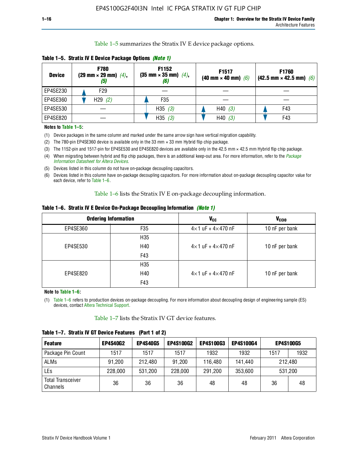Table 1–5 summarizes the Stratix IV E device package options.

| <b>Device</b> | <b>F780</b><br>$(29 \text{ mm} \times 29 \text{ mm})$ $(4)$ ,<br>$\left(5\right)$ | F1152<br>$(35 \text{ mm} \times 35 \text{ mm})$ $(4)$ , | F1517<br>(40 mm $\times$ 40 mm) (6) | F1760<br>$(42.5 \text{ mm} \times 42.5 \text{ mm})$ (6) |
|---------------|-----------------------------------------------------------------------------------|---------------------------------------------------------|-------------------------------------|---------------------------------------------------------|
| EP4SE230      | F29                                                                               |                                                         |                                     |                                                         |
| EP4SE360      | H29(2)                                                                            | F <sub>35</sub>                                         |                                     |                                                         |
| EP4SE530      |                                                                                   | H35 $(3)$                                               | H40(3)                              | F43                                                     |
| EP4SE820      |                                                                                   | H35(3)                                                  | H40(3)                              | F43                                                     |

**Table 1–5. Stratix IV E Device Package Options** *(Note 1)*

#### **Notes to Table 1–5:**

- (1) Device packages in the same column and marked under the same arrow sign have vertical migration capability.
- (2) The 780-pin EP4SE360 device is available only in the 33 mm × 33 mm Hybrid flip chip package.
- (3) The 1152-pin and 1517-pin for EP4SE530 and EP4SE820 devices are available only in the 42.5 mm × 42.5 mm Hybrid flip chip package.
- (4) When migrating between hybrid and flip chip packages, there is an additional keep-out area. For more information, refer to the *[Package](http://www.altera.com/literature/ds/dspkg.pdf)  [Information Datasheet for Altera Devices](http://www.altera.com/literature/ds/dspkg.pdf)*.
- (5) Devices listed in this column do not have on-package decoupling capacitors.
- (6) Devices listed in this column have on-package decoupling capacitors. For more information about on-package decoupling capacitor value for each device, refer to Table 1–6.

Table 1–6 lists the Stratix IV E on-package decoupling information.

|  | Table 1–6. Stratix IV E Device On-Package Decoupling Information <i>(Note 1)</i> |  |  |  |  |  |
|--|----------------------------------------------------------------------------------|--|--|--|--|--|
|--|----------------------------------------------------------------------------------|--|--|--|--|--|

|          | <b>Ordering Information</b> | <b>V<sub>cc</sub></b>               | V <sub>CCIO</sub> |
|----------|-----------------------------|-------------------------------------|-------------------|
| EP4SE360 | F <sub>35</sub>             | $4\times$ 1 uF + $4\times$ 470 nF   | 10 nF per bank    |
|          | H <sub>35</sub>             |                                     |                   |
| EP4SE530 | H40                         | $4 \times 1$ uF + $4 \times 470$ nF | 10 nF per bank    |
|          | F43                         |                                     |                   |
|          | H35                         |                                     |                   |
| EP4SE820 | H40                         | $4 \times 1$ uF + $4 \times 470$ nF | 10 nF per bank    |
|          | F43                         |                                     |                   |

**Note to Table 1–6:**

(1) Table 1–6 refers to production devices on-package decoupling. For more information about decoupling design of engineering sample (ES) devices, contact [Altera Technical Support.](http://mysupport.altera.com/eservice/login.asp)

Table 1–7 lists the Stratix IV GT device features.

| <b>Feature</b>                       | <b>EP4S40G2</b> | <b>EP4S40G5</b> | <b>EP4S100G2</b> | <b>EP4S100G3</b> | <b>EP4S100G4</b> | <b>EP4S100G5</b> |         |
|--------------------------------------|-----------------|-----------------|------------------|------------------|------------------|------------------|---------|
| Package Pin Count                    | 1517            | 1517            | 1517             | 1932             | 1932             | 1517             | 1932    |
| <b>ALMs</b>                          | 91,200          | 212,480         | 91.200           | 116.480          | 141,440          | 212,480          |         |
| LEs                                  | 228,000         | 531,200         | 228,000          | 291,200          | 353,600          |                  | 531,200 |
| <b>Total Transceiver</b><br>Channels | 36              | 36              | 36               | 48               | 48               | 36               | 48      |

**Table 1–7. Stratix IV GT Device Features (Part 1 of 2)**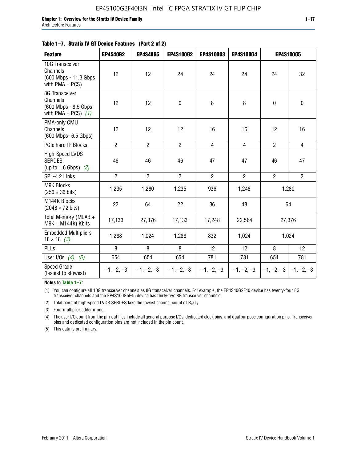| <b>Feature</b>                                                              | <b>EP4S40G2</b> | <b>EP4S40G5</b> | EP4S100G2      | <b>EP4S100G3</b> | <b>EP4S100G4</b> |                | <b>EP4S100G5</b>          |
|-----------------------------------------------------------------------------|-----------------|-----------------|----------------|------------------|------------------|----------------|---------------------------|
| 10G Transceiver<br>Channels<br>(600 Mbps - 11.3 Gbps<br>with $PMA + PCS$ )  | 12              | 12              | 24             | 24               | 24               | 24             | 32                        |
| 8G Transceiver<br>Channels<br>(600 Mbps - 8.5 Gbps<br>with PMA + PCS) $(1)$ | 12              | 12              | 0              | 8                | 8                | 0              | 0                         |
| PMA-only CMU<br>Channels<br>(600 Mbps- 6.5 Gbps)                            | 12              | 12              | 12             | 16               | 16               | 12             | 16                        |
| PCIe hard IP Blocks                                                         | $\overline{2}$  | $\overline{2}$  | $\overline{2}$ | $\overline{4}$   | $\overline{4}$   | $\overline{2}$ | $\overline{4}$            |
| High-Speed LVDS<br><b>SERDES</b><br>(up to 1.6 Gbps) $(2)$                  | 46              | 46              | 46             | 47               | 47               | 46             | 47                        |
| SP1-4.2 Links                                                               | $\overline{2}$  | $\overline{2}$  | $\overline{2}$ | $\overline{2}$   | $\overline{2}$   | $\overline{2}$ | $\overline{2}$            |
| <b>M9K Blocks</b><br>$(256 \times 36 \text{ bits})$                         | 1,235           | 1,280           | 1,235          | 936              | 1,248            |                | 1,280                     |
| M144K Blocks<br>$(2048 \times 72 \text{ bits})$                             | 22              | 64              | 22             | 36               | 48               |                | 64                        |
| Total Memory (MLAB +<br>M9K + M144K) Kbits                                  | 17,133          | 27,376          | 17,133         | 17,248           | 22,564           |                | 27,376                    |
| <b>Embedded Multipliers</b><br>$18 \times 18$ (3)                           | 1,288           | 1,024           | 1,288          | 832              | 1,024            |                | 1,024                     |
| PLLs                                                                        | 8               | 8               | 8              | 12               | 12               | 8              | 12                        |
| User I/Os $(4)$ , $(5)$                                                     | 654             | 654             | 654            | 781              | 781              | 654            | 781                       |
| Speed Grade<br>(fastest to slowest)                                         | $-1, -2, -3$    | $-1, -2, -3$    | $-1, -2, -3$   | $-1, -2, -3$     | $-1, -2, -3$     |                | $-1, -2, -3$ $-1, -2, -3$ |

**Notes to Table 1–7:**

(1) You can configure all 10G transceiver channels as 8G transceiver channels. For example, the EP4S40G2F40 device has twenty-four 8G transceiver channels and the EP4S100G5F45 device has thirty-two 8G transceiver channels.

(2) Total pairs of high-speed LVDS SERDES take the lowest channel count of  $R_X/T_X$ .

(3) Four multiplier adder mode.

(4) The user I/O count from the pin-out files include all general purpose I/Os, dedicated clock pins, and dual purpose configuration pins. Transceiver pins and dedicated configuration pins are not included in the pin count.

(5) This data is preliminary.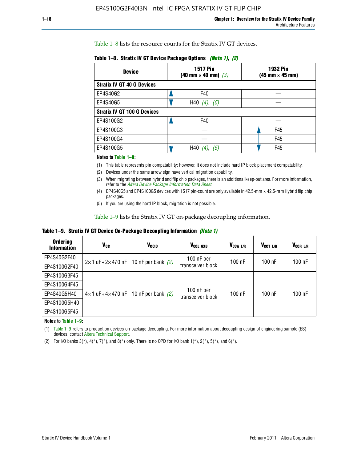Table 1–8 lists the resource counts for the Stratix IV GT devices.

| <b>Device</b>                      | <b>1517 Pin</b><br>$(40 \text{ mm} \times 40 \text{ mm})$ $(3)$ | 1932 Pin<br>$(45 \text{ mm} \times 45 \text{ mm})$ |
|------------------------------------|-----------------------------------------------------------------|----------------------------------------------------|
| <b>Stratix IV GT 40 G Devices</b>  |                                                                 |                                                    |
| EP4S40G2                           | F40                                                             |                                                    |
| EP4S40G5                           | H40 $(4)$ , $(5)$                                               |                                                    |
| <b>Stratix IV GT 100 G Devices</b> |                                                                 |                                                    |
| EP4S100G2                          | F40                                                             |                                                    |
| EP4S100G3                          |                                                                 | F45                                                |
| EP4S100G4                          |                                                                 | F45                                                |
| EP4S100G5                          | H40<br>(5)                                                      | F45                                                |

**Table 1–8. Stratix IV GT Device Package Options** *(Note 1)***,** *(2)*

#### **Notes to Table 1–8:**

(1) This table represents pin compatability; however, it does not include hard IP block placement compatability.

- (2) Devices under the same arrow sign have vertical migration capability.
- (3) When migrating between hybrid and flip chip packages, there is an additional keep-out area. For more information, refer to the *[Altera Device Package Information Data Sheet](http://www.altera.com/literature/ds/dspkg.pdf)*.
- (4) EP4S40G5 and EP4S100G5 devices with 1517 pin-count are only available in 42.5-mm × 42.5-mm Hybrid flip chip packages.
- (5) If you are using the hard IP block, migration is not possible.

Table 1–9 lists the Stratix IV GT on-package decoupling information.

**Table 1–9. Stratix IV GT Device On-Package Decoupling Information** *(Note 1)*

| <b>Ordering</b><br><b>Information</b> | V <sub>CC</sub>                 | V <sub>CCIO</sub>                             | V <sub>CCL GXB</sub>            | V <sub>CCA_L/R</sub> | V <sub>CCT L/R</sub> | V <sub>CCR_L/R</sub> |
|---------------------------------------|---------------------------------|-----------------------------------------------|---------------------------------|----------------------|----------------------|----------------------|
| EP4S40G2F40                           |                                 | $2 \times 1$ uF+2×470 nF   10 nF per bank (2) | $100$ nF per                    | 100 nF               | $100$ nF             | $100$ nF             |
| EP4S100G2F40                          |                                 |                                               | transceiver block               |                      |                      |                      |
| EP4S100G3F45                          |                                 |                                               |                                 |                      |                      |                      |
| EP4S100G4F45                          |                                 |                                               |                                 |                      |                      |                      |
| EP4S40G5H40                           | $4\times1$ uF+4 $\times$ 470 nF | 10 nF per bank $(2)$                          | 100 nF per<br>transceiver block | 100 nF               | $100$ nF             | $100$ nF             |
| EP4S100G5H40                          |                                 |                                               |                                 |                      |                      |                      |
| EP4S100G5F45                          |                                 |                                               |                                 |                      |                      |                      |

**Notes to Table 1–9:**

(1) Table 1–9 refers to production devices on-package decoupling. For more information about decoupling design of engineering sample (ES) devices, contact [Altera Technical Support.](http://mysupport.altera.com/eservice/login.asp)

(2) For I/O banks  $3(*)$ ,  $4(*)$ ,  $7(*)$ , and  $8(*)$  only. There is no OPD for I/O bank  $1(*)$ ,  $2(*)$ ,  $5(*)$ , and  $6(*)$ .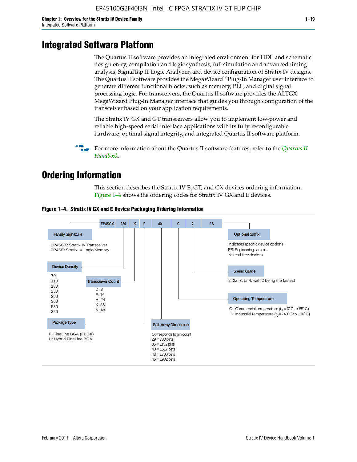# **Integrated Software Platform**

The Quartus II software provides an integrated environment for HDL and schematic design entry, compilation and logic synthesis, full simulation and advanced timing analysis, SignalTap II Logic Analyzer, and device configuration of Stratix IV designs. The Quartus II software provides the MegaWizard™ Plug-In Manager user interface to generate different functional blocks, such as memory, PLL, and digital signal processing logic. For transceivers, the Quartus II software provides the ALTGX MegaWizard Plug-In Manager interface that guides you through configuration of the transceiver based on your application requirements.

The Stratix IV GX and GT transceivers allow you to implement low-power and reliable high-speed serial interface applications with its fully reconfigurable hardware, optimal signal integrity, and integrated Quartus II software platform.

For more information about the [Quartus II](http://www.altera.com/literature/lit-qts.jsp) software features, refer to the *Quartus II [Handbook](http://www.altera.com/literature/lit-qts.jsp)*.

# **Ordering Information**

This section describes the Stratix IV E, GT, and GX devices ordering information. Figure 1–4 shows the ordering codes for Stratix IV GX and E devices.



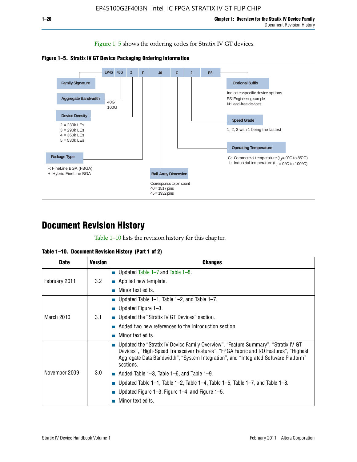Figure 1–5 shows the ordering codes for Stratix IV GT devices.





# **Document Revision History**

Table 1–10 lists the revision history for this chapter.

| <b>Date</b>   | <b>Version</b> | <b>Changes</b>                                                                                                                                                                                                                                                                  |
|---------------|----------------|---------------------------------------------------------------------------------------------------------------------------------------------------------------------------------------------------------------------------------------------------------------------------------|
| February 2011 | 3.2            | ■ Updated Table $1-7$ and Table $1-8$ .                                                                                                                                                                                                                                         |
|               |                | $\blacksquare$ Applied new template.                                                                                                                                                                                                                                            |
|               |                | Minor text edits.                                                                                                                                                                                                                                                               |
| March 2010    | 3.1            | ■ Updated Table 1–1, Table 1–2, and Table 1–7.                                                                                                                                                                                                                                  |
|               |                | ■ Updated Figure $1-3$ .                                                                                                                                                                                                                                                        |
|               |                | ■ Updated the "Stratix IV GT Devices" section.                                                                                                                                                                                                                                  |
|               |                | Added two new references to the Introduction section.                                                                                                                                                                                                                           |
|               |                | Minor text edits.                                                                                                                                                                                                                                                               |
| November 2009 | 3.0            | Updated the "Stratix IV Device Family Overview", "Feature Summary", "Stratix IV GT<br>Devices", "High-Speed Transceiver Features", "FPGA Fabric and I/O Features", "Highest<br>Aggregate Data Bandwidth", "System Integration", and "Integrated Software Platform"<br>sections. |
|               |                | $\blacksquare$ Added Table 1–3, Table 1–6, and Table 1–9.                                                                                                                                                                                                                       |
|               |                | Updated Table 1–1, Table 1–2, Table 1–4, Table 1–5, Table 1–7, and Table 1–8.                                                                                                                                                                                                   |
|               |                | Updated Figure 1–3, Figure 1–4, and Figure 1–5.                                                                                                                                                                                                                                 |
|               |                | Minor text edits.                                                                                                                                                                                                                                                               |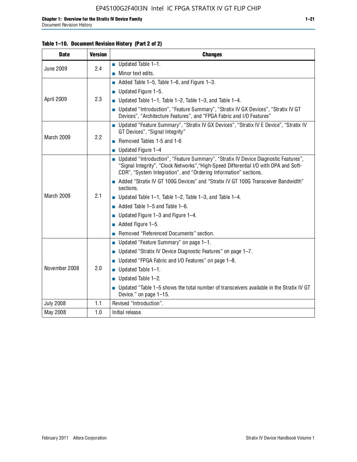| <b>Date</b>      | <b>Version</b> | <b>Changes</b>                                                                                                                                                                                                                                     |
|------------------|----------------|----------------------------------------------------------------------------------------------------------------------------------------------------------------------------------------------------------------------------------------------------|
| <b>June 2009</b> | 2.4            | $\blacksquare$ Updated Table 1-1.                                                                                                                                                                                                                  |
|                  |                | $\blacksquare$ Minor text edits.                                                                                                                                                                                                                   |
| April 2009       | 2.3            | Added Table 1-5, Table 1-6, and Figure 1-3.                                                                                                                                                                                                        |
|                  |                | $\blacksquare$ Updated Figure 1-5.                                                                                                                                                                                                                 |
|                  |                | ■ Updated Table 1–1, Table 1–2, Table 1–3, and Table 1–4.                                                                                                                                                                                          |
|                  |                | ■ Updated "Introduction", "Feature Summary", "Stratix IV GX Devices", "Stratix IV GT<br>Devices", "Architecture Features", and "FPGA Fabric and I/O Features"                                                                                      |
| March 2009       | 2.2            | ■ Updated "Feature Summary", "Stratix IV GX Devices", "Stratix IV E Device", "Stratix IV<br>GT Devices", "Signal Integrity"                                                                                                                        |
|                  |                | Removed Tables 1-5 and 1-6                                                                                                                                                                                                                         |
|                  |                | $\blacksquare$ Updated Figure 1-4                                                                                                                                                                                                                  |
| March 2009       | 2.1            | ■ Updated "Introduction", "Feature Summary", "Stratix IV Device Diagnostic Features",<br>"Signal Integrity", "Clock Networks", "High-Speed Differential I/O with DPA and Soft-<br>CDR", "System Integration", and "Ordering Information" sections. |
|                  |                | Added "Stratix IV GT 100G Devices" and "Stratix IV GT 100G Transceiver Bandwidth"<br>sections.                                                                                                                                                     |
|                  |                | ■ Updated Table 1–1, Table 1–2, Table 1–3, and Table 1–4.                                                                                                                                                                                          |
|                  |                | $\blacksquare$ Added Table 1–5 and Table 1–6.                                                                                                                                                                                                      |
|                  |                | ■ Updated Figure $1-3$ and Figure $1-4$ .                                                                                                                                                                                                          |
|                  |                | $\blacksquare$ Added Figure 1-5.                                                                                                                                                                                                                   |
|                  |                | Removed "Referenced Documents" section.                                                                                                                                                                                                            |
|                  | 2.0            | ■ Updated "Feature Summary" on page 1-1.                                                                                                                                                                                                           |
| November 2008    |                | ■ Updated "Stratix IV Device Diagnostic Features" on page $1-7$ .                                                                                                                                                                                  |
|                  |                | Updated "FPGA Fabric and I/O Features" on page 1-8.                                                                                                                                                                                                |
|                  |                | $\blacksquare$ Updated Table 1-1.                                                                                                                                                                                                                  |
|                  |                | $\blacksquare$ Updated Table 1-2.                                                                                                                                                                                                                  |
|                  |                | ■ Updated "Table 1–5 shows the total number of transceivers available in the Stratix IV GT<br>Device." on page 1-15.                                                                                                                               |
| <b>July 2008</b> | 1.1            | Revised "Introduction".                                                                                                                                                                                                                            |
| May 2008         | 1.0            | Initial release.                                                                                                                                                                                                                                   |